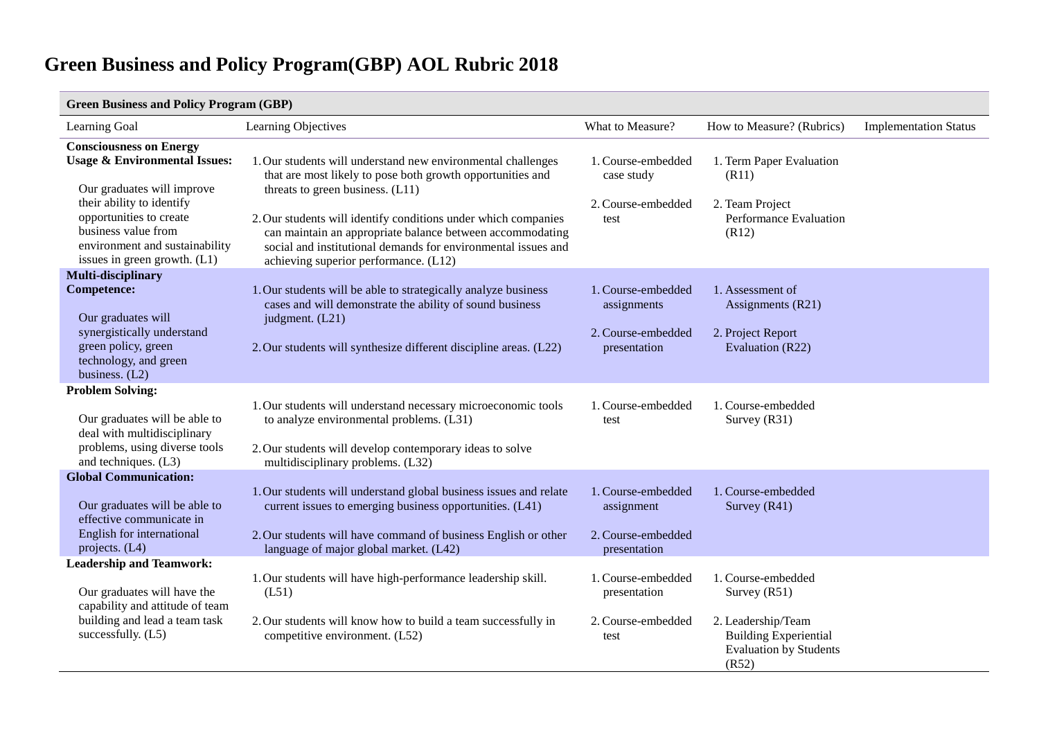| <b>Green Business and Policy Program (GBP)</b>                                                                                                                                                                                                            |                                                                                                                                                                                                                                                                                                                                                                                                         |                                                                         |                                                                                                                                      |                              |
|-----------------------------------------------------------------------------------------------------------------------------------------------------------------------------------------------------------------------------------------------------------|---------------------------------------------------------------------------------------------------------------------------------------------------------------------------------------------------------------------------------------------------------------------------------------------------------------------------------------------------------------------------------------------------------|-------------------------------------------------------------------------|--------------------------------------------------------------------------------------------------------------------------------------|------------------------------|
| Learning Goal                                                                                                                                                                                                                                             | Learning Objectives                                                                                                                                                                                                                                                                                                                                                                                     | What to Measure?                                                        | How to Measure? (Rubrics)                                                                                                            | <b>Implementation Status</b> |
| <b>Consciousness on Energy</b><br><b>Usage &amp; Environmental Issues:</b><br>Our graduates will improve<br>their ability to identify<br>opportunities to create<br>business value from<br>environment and sustainability<br>issues in green growth. (L1) | 1. Our students will understand new environmental challenges<br>that are most likely to pose both growth opportunities and<br>threats to green business. (L11)<br>2. Our students will identify conditions under which companies<br>can maintain an appropriate balance between accommodating<br>social and institutional demands for environmental issues and<br>achieving superior performance. (L12) | 1. Course-embedded<br>case study<br>2. Course-embedded<br>test          | 1. Term Paper Evaluation<br>(R11)<br>2. Team Project<br>Performance Evaluation<br>(R12)                                              |                              |
| Multi-disciplinary<br><b>Competence:</b><br>Our graduates will<br>synergistically understand<br>green policy, green<br>technology, and green<br>business. $(L2)$                                                                                          | 1. Our students will be able to strategically analyze business<br>cases and will demonstrate the ability of sound business<br>judgment. (L21)<br>2. Our students will synthesize different discipline areas. (L22)                                                                                                                                                                                      | 1. Course-embedded<br>assignments<br>2. Course-embedded<br>presentation | 1. Assessment of<br>Assignments (R21)<br>2. Project Report<br>Evaluation (R22)                                                       |                              |
| <b>Problem Solving:</b><br>Our graduates will be able to<br>deal with multidisciplinary<br>problems, using diverse tools<br>and techniques. (L3)                                                                                                          | 1. Our students will understand necessary microeconomic tools<br>to analyze environmental problems. (L31)<br>2. Our students will develop contemporary ideas to solve<br>multidisciplinary problems. (L32)                                                                                                                                                                                              | 1. Course-embedded<br>test                                              | 1. Course-embedded<br>Survey (R31)                                                                                                   |                              |
| <b>Global Communication:</b><br>Our graduates will be able to<br>effective communicate in<br>English for international<br>projects. $(L4)$                                                                                                                | 1. Our students will understand global business issues and relate<br>current issues to emerging business opportunities. (L41)<br>2. Our students will have command of business English or other<br>language of major global market. (L42)                                                                                                                                                               | 1. Course-embedded<br>assignment<br>2. Course-embedded<br>presentation  | 1. Course-embedded<br>Survey $(R41)$                                                                                                 |                              |
| <b>Leadership and Teamwork:</b><br>Our graduates will have the<br>capability and attitude of team<br>building and lead a team task<br>successfully. (L5)                                                                                                  | 1. Our students will have high-performance leadership skill.<br>(L51)<br>2. Our students will know how to build a team successfully in<br>competitive environment. (L52)                                                                                                                                                                                                                                | 1. Course-embedded<br>presentation<br>2. Course-embedded<br>test        | 1. Course-embedded<br>Survey $(R51)$<br>2. Leadership/Team<br><b>Building Experiential</b><br><b>Evaluation by Students</b><br>(R52) |                              |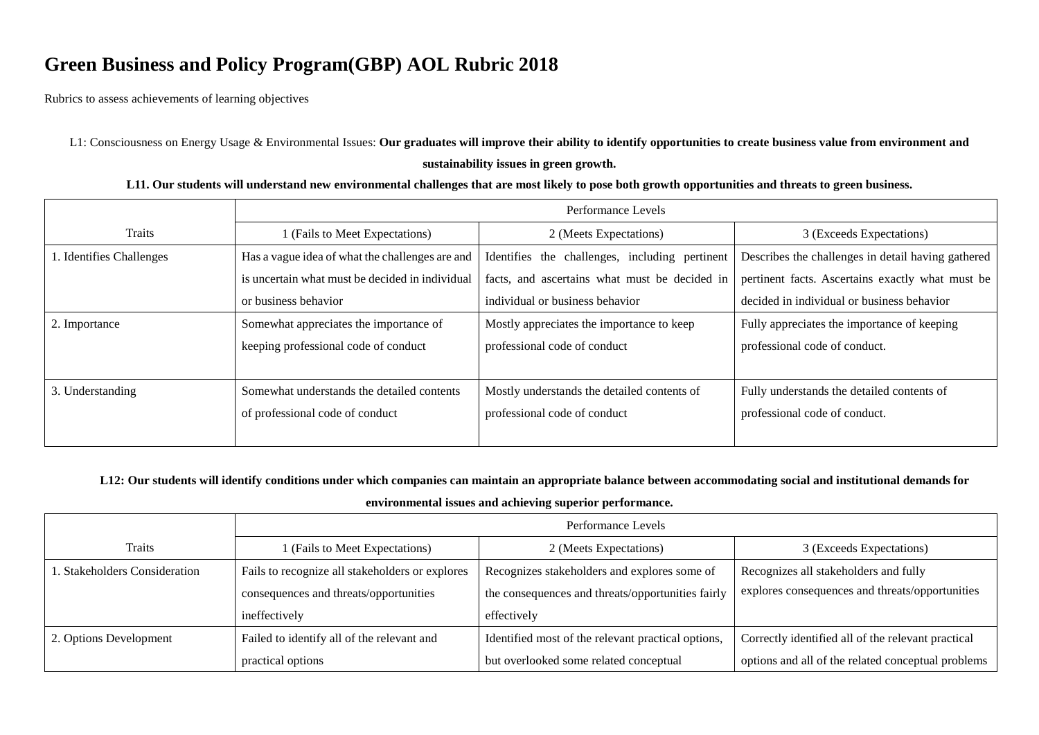Rubrics to assess achievements of learning objectives

L1: Consciousness on Energy Usage & Environmental Issues: **Our graduates will improve their ability to identify opportunities to create business value from environment and sustainability issues in green growth.**

#### **L11. Our students will understand new environmental challenges that are most likely to pose both growth opportunities and threats to green business.**

|                          | Performance Levels                              |                                                |                                                    |
|--------------------------|-------------------------------------------------|------------------------------------------------|----------------------------------------------------|
| Traits                   | I (Fails to Meet Expectations)                  | 2 (Meets Expectations)                         | 3 (Exceeds Expectations)                           |
| 1. Identifies Challenges | Has a vague idea of what the challenges are and | Identifies the challenges, including pertinent | Describes the challenges in detail having gathered |
|                          | is uncertain what must be decided in individual | facts, and ascertains what must be decided in  | pertinent facts. Ascertains exactly what must be   |
|                          | or business behavior                            | individual or business behavior                | decided in individual or business behavior         |
| 2. Importance            | Somewhat appreciates the importance of          | Mostly appreciates the importance to keep      | Fully appreciates the importance of keeping        |
|                          | keeping professional code of conduct            | professional code of conduct                   | professional code of conduct.                      |
|                          |                                                 |                                                |                                                    |
| 3. Understanding         | Somewhat understands the detailed contents      | Mostly understands the detailed contents of    | Fully understands the detailed contents of         |
|                          | of professional code of conduct                 | professional code of conduct                   | professional code of conduct.                      |
|                          |                                                 |                                                |                                                    |

### **L12: Our students will identify conditions under which companies can maintain an appropriate balance between accommodating social and institutional demands for**

### **environmental issues and achieving superior performance.**

|                               | Performance Levels                              |                                                    |                                                    |
|-------------------------------|-------------------------------------------------|----------------------------------------------------|----------------------------------------------------|
| <b>Traits</b>                 | 1 (Fails to Meet Expectations)                  | 2 (Meets Expectations)                             | 3 (Exceeds Expectations)                           |
| 1. Stakeholders Consideration | Fails to recognize all stakeholders or explores | Recognizes stakeholders and explores some of       | Recognizes all stakeholders and fully              |
|                               | consequences and threats/opportunities          | the consequences and threats/opportunities fairly  | explores consequences and threats/opportunities    |
|                               | ineffectively                                   | effectively                                        |                                                    |
| 2. Options Development        | Failed to identify all of the relevant and      | Identified most of the relevant practical options, | Correctly identified all of the relevant practical |
|                               | practical options                               | but overlooked some related conceptual             | options and all of the related conceptual problems |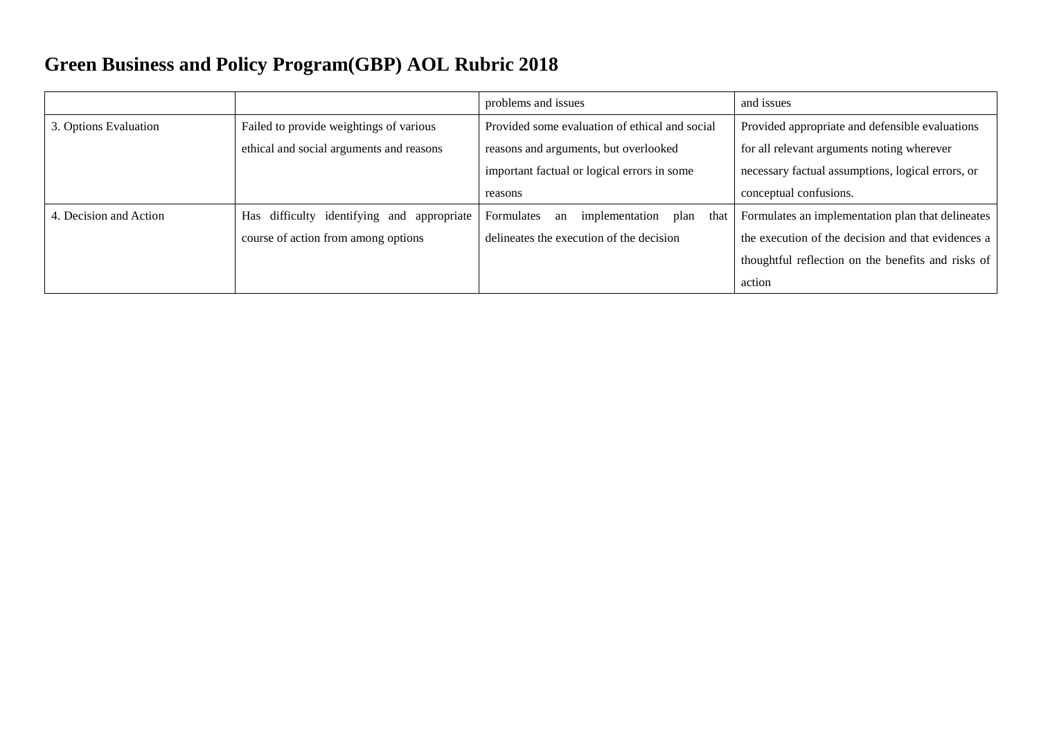|                        |                                            | problems and issues                                | and issues                                         |
|------------------------|--------------------------------------------|----------------------------------------------------|----------------------------------------------------|
| 3. Options Evaluation  | Failed to provide weightings of various    | Provided some evaluation of ethical and social     | Provided appropriate and defensible evaluations    |
|                        | ethical and social arguments and reasons   | reasons and arguments, but overlooked              | for all relevant arguments noting wherever         |
|                        |                                            | important factual or logical errors in some        | necessary factual assumptions, logical errors, or  |
|                        |                                            | reasons                                            | conceptual confusions.                             |
| 4. Decision and Action | Has difficulty identifying and appropriate | Formulates<br>implementation<br>plan<br>that<br>an | Formulates an implementation plan that delineates  |
|                        | course of action from among options        | delineates the execution of the decision           | the execution of the decision and that evidences a |
|                        |                                            |                                                    | thoughtful reflection on the benefits and risks of |
|                        |                                            |                                                    | action                                             |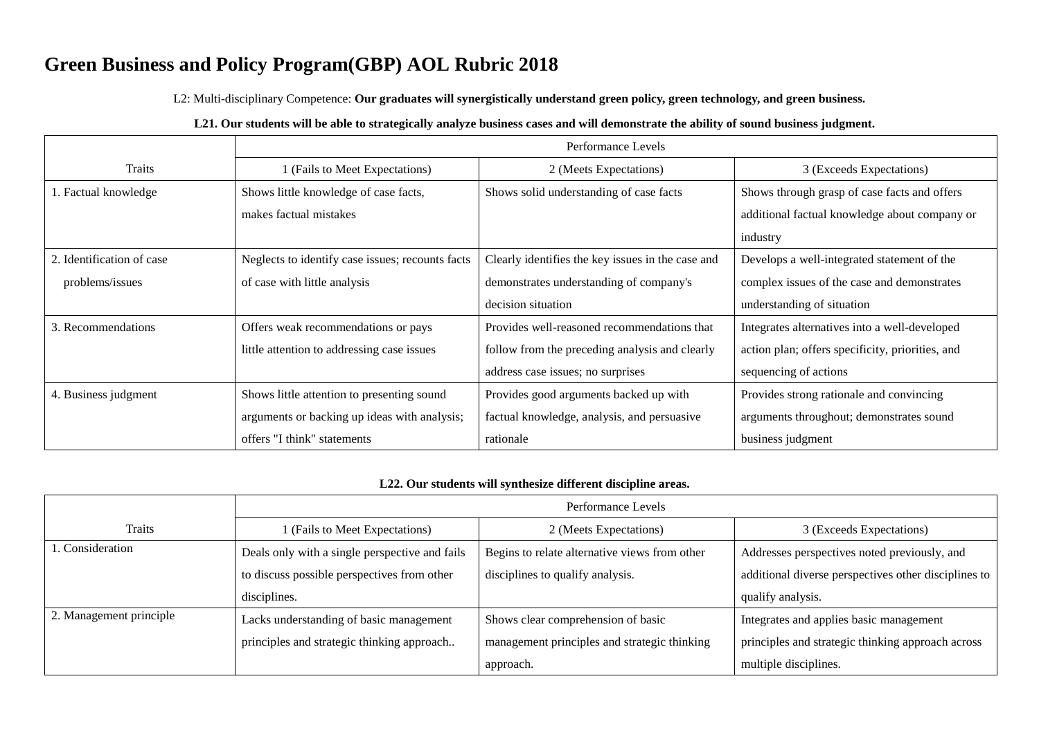L2: Multi-disciplinary Competence: **Our graduates will synergistically understand green policy, green technology, and green business.**

### **L21. Our students will be able to strategically analyze business cases and will demonstrate the ability of sound business judgment.**

|                           | Performance Levels                               |                                                   |                                                  |
|---------------------------|--------------------------------------------------|---------------------------------------------------|--------------------------------------------------|
| Traits                    | 1 (Fails to Meet Expectations)                   | 2 (Meets Expectations)                            | 3 (Exceeds Expectations)                         |
| 1. Factual knowledge      | Shows little knowledge of case facts,            | Shows solid understanding of case facts           | Shows through grasp of case facts and offers     |
|                           | makes factual mistakes                           |                                                   | additional factual knowledge about company or    |
|                           |                                                  |                                                   | industry                                         |
| 2. Identification of case | Neglects to identify case issues; recounts facts | Clearly identifies the key issues in the case and | Develops a well-integrated statement of the      |
| problems/issues           | of case with little analysis                     | demonstrates understanding of company's           | complex issues of the case and demonstrates      |
|                           |                                                  | decision situation                                | understanding of situation                       |
| 3. Recommendations        | Offers weak recommendations or pays              | Provides well-reasoned recommendations that       | Integrates alternatives into a well-developed    |
|                           | little attention to addressing case issues       | follow from the preceding analysis and clearly    | action plan; offers specificity, priorities, and |
|                           |                                                  | address case issues; no surprises                 | sequencing of actions                            |
| 4. Business judgment      | Shows little attention to presenting sound       | Provides good arguments backed up with            | Provides strong rationale and convincing         |
|                           | arguments or backing up ideas with analysis;     | factual knowledge, analysis, and persuasive       | arguments throughout; demonstrates sound         |
|                           | offers "I think" statements                      | rationale                                         | business judgment                                |

#### **L22. Our students will synthesize different discipline areas.**

|                         | Performance Levels                             |                                               |                                                      |
|-------------------------|------------------------------------------------|-----------------------------------------------|------------------------------------------------------|
| Traits                  | 1 (Fails to Meet Expectations)                 | 2 (Meets Expectations)                        | 3 (Exceeds Expectations)                             |
| . Consideration         | Deals only with a single perspective and fails | Begins to relate alternative views from other | Addresses perspectives noted previously, and         |
|                         | to discuss possible perspectives from other    | disciplines to qualify analysis.              | additional diverse perspectives other disciplines to |
|                         | disciplines.                                   |                                               | qualify analysis.                                    |
| 2. Management principle | Lacks understanding of basic management        | Shows clear comprehension of basic            | Integrates and applies basic management              |
|                         | principles and strategic thinking approach     | management principles and strategic thinking  | principles and strategic thinking approach across    |
|                         |                                                | approach.                                     | multiple disciplines.                                |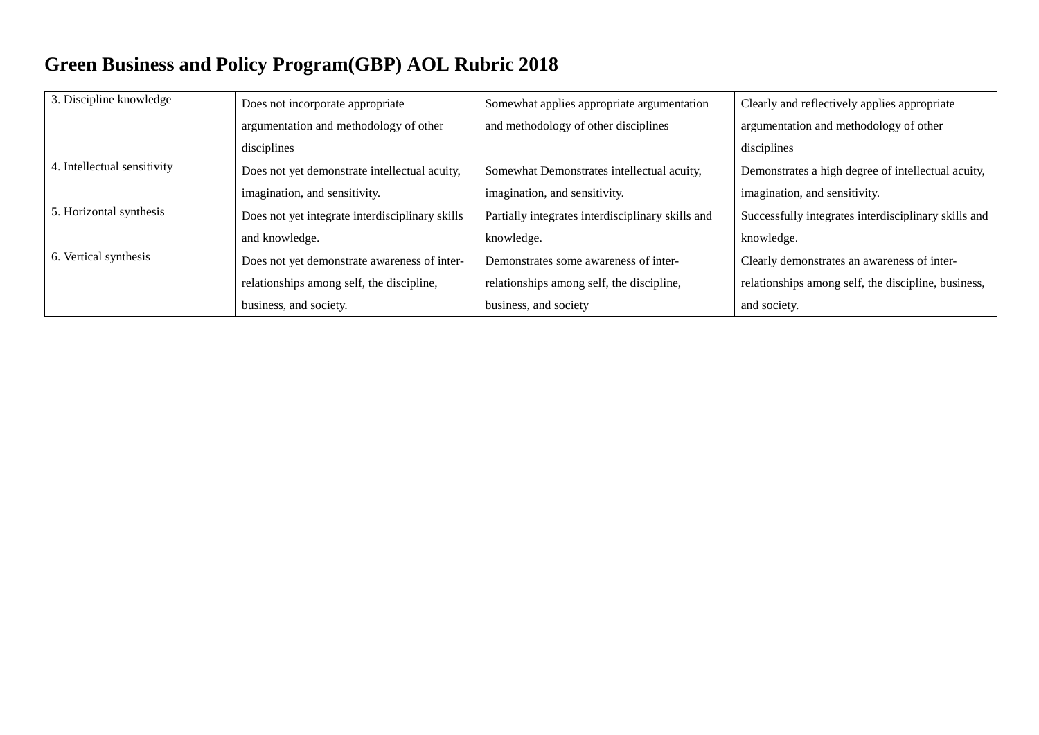| 3. Discipline knowledge     | Does not incorporate appropriate                | Somewhat applies appropriate argumentation        | Clearly and reflectively applies appropriate         |
|-----------------------------|-------------------------------------------------|---------------------------------------------------|------------------------------------------------------|
|                             | argumentation and methodology of other          | and methodology of other disciplines              | argumentation and methodology of other               |
|                             | disciplines                                     |                                                   | disciplines                                          |
| 4. Intellectual sensitivity | Does not yet demonstrate intellectual acuity,   | Somewhat Demonstrates intellectual acuity,        | Demonstrates a high degree of intellectual acuity,   |
|                             | imagination, and sensitivity.                   | imagination, and sensitivity.                     | imagination, and sensitivity.                        |
| 5. Horizontal synthesis     | Does not yet integrate interdisciplinary skills | Partially integrates interdisciplinary skills and | Successfully integrates interdisciplinary skills and |
|                             | and knowledge.                                  | knowledge.                                        | knowledge.                                           |
| 6. Vertical synthesis       | Does not yet demonstrate awareness of inter-    | Demonstrates some awareness of inter-             | Clearly demonstrates an awareness of inter-          |
|                             | relationships among self, the discipline,       | relationships among self, the discipline,         | relationships among self, the discipline, business,  |
|                             | business, and society.                          | business, and society                             | and society.                                         |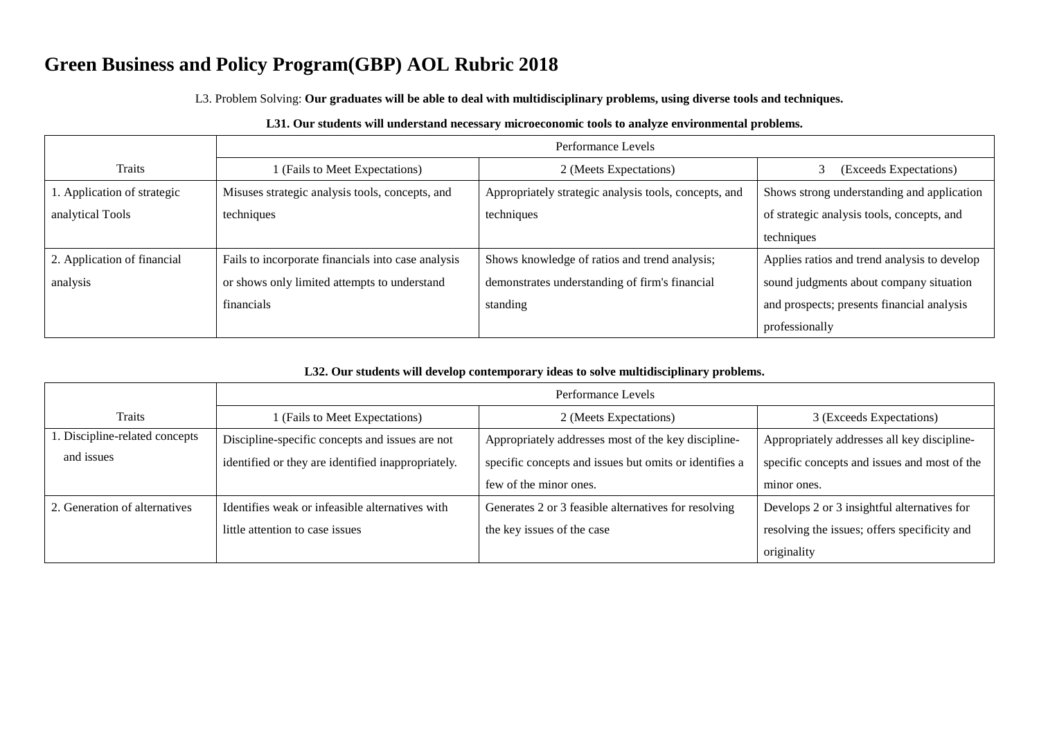L3. Problem Solving: **Our graduates will be able to deal with multidisciplinary problems, using diverse tools and techniques.**

|                             | Performance Levels                                 |                                                       |                                              |
|-----------------------------|----------------------------------------------------|-------------------------------------------------------|----------------------------------------------|
| <b>Traits</b>               | (Fails to Meet Expectations)                       | 2 (Meets Expectations)                                | (Exceeds Expectations)                       |
| 1. Application of strategic | Misuses strategic analysis tools, concepts, and    | Appropriately strategic analysis tools, concepts, and | Shows strong understanding and application   |
| analytical Tools            | techniques                                         | techniques                                            | of strategic analysis tools, concepts, and   |
|                             |                                                    |                                                       | techniques                                   |
| 2. Application of financial | Fails to incorporate financials into case analysis | Shows knowledge of ratios and trend analysis;         | Applies ratios and trend analysis to develop |
| analysis                    | or shows only limited attempts to understand       | demonstrates understanding of firm's financial        | sound judgments about company situation      |
|                             | financials                                         | standing                                              | and prospects; presents financial analysis   |
|                             |                                                    |                                                       | professionally                               |

### **L32. Our students will develop contemporary ideas to solve multidisciplinary problems.**

|                               | Performance Levels                                 |                                                        |                                              |
|-------------------------------|----------------------------------------------------|--------------------------------------------------------|----------------------------------------------|
| Traits                        | 1 (Fails to Meet Expectations)                     | 2 (Meets Expectations)                                 | 3 (Exceeds Expectations)                     |
| Discipline-related concepts   | Discipline-specific concepts and issues are not    | Appropriately addresses most of the key discipline-    | Appropriately addresses all key discipline-  |
| and issues                    | identified or they are identified inappropriately. | specific concepts and issues but omits or identifies a | specific concepts and issues and most of the |
|                               |                                                    | few of the minor ones.                                 | minor ones.                                  |
| 2. Generation of alternatives | Identifies weak or infeasible alternatives with    | Generates 2 or 3 feasible alternatives for resolving   | Develops 2 or 3 insightful alternatives for  |
|                               | little attention to case issues                    | the key issues of the case                             | resolving the issues; offers specificity and |
|                               |                                                    |                                                        | originality                                  |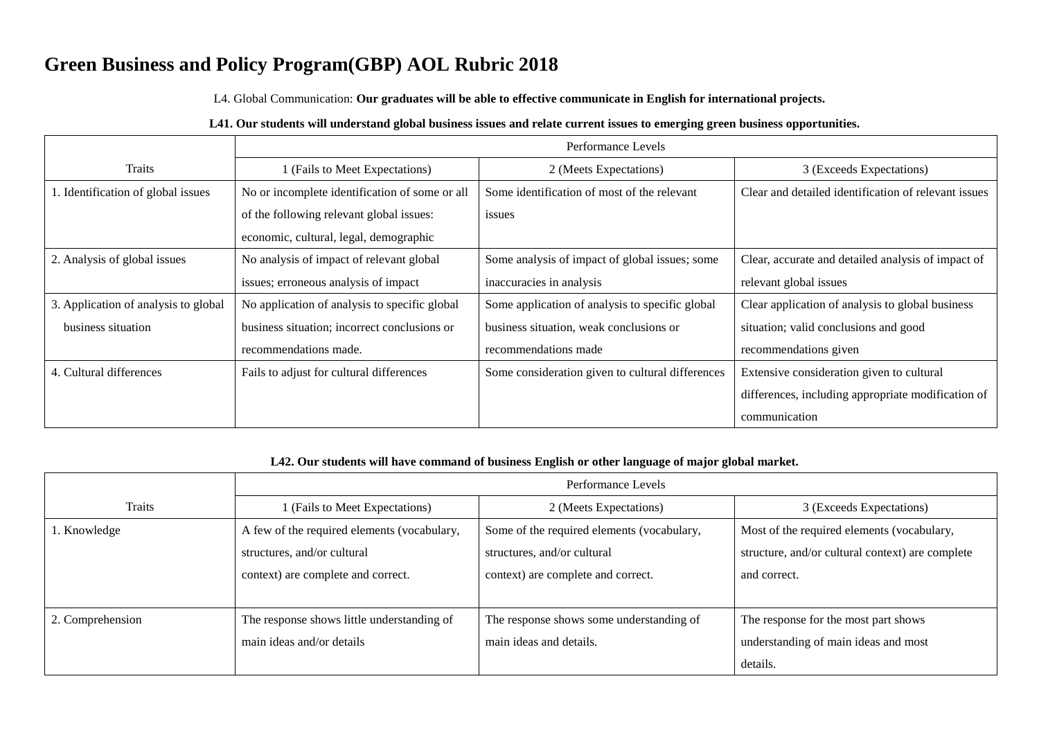L4. Global Communication: **Our graduates will be able to effective communicate in English for international projects.**

### **L41. Our students will understand global business issues and relate current issues to emerging green business opportunities.**

|                                      | Performance Levels                             |                                                  |                                                      |
|--------------------------------------|------------------------------------------------|--------------------------------------------------|------------------------------------------------------|
| Traits                               | (Fails to Meet Expectations)                   | 2 (Meets Expectations)                           | 3 (Exceeds Expectations)                             |
| 1. Identification of global issues   | No or incomplete identification of some or all | Some identification of most of the relevant      | Clear and detailed identification of relevant issues |
|                                      | of the following relevant global issues:       | issues                                           |                                                      |
|                                      | economic, cultural, legal, demographic         |                                                  |                                                      |
| 2. Analysis of global issues         | No analysis of impact of relevant global       | Some analysis of impact of global issues; some   | Clear, accurate and detailed analysis of impact of   |
|                                      | issues; erroneous analysis of impact           | inaccuracies in analysis                         | relevant global issues                               |
| 3. Application of analysis to global | No application of analysis to specific global  | Some application of analysis to specific global  | Clear application of analysis to global business     |
| business situation                   | business situation; incorrect conclusions or   | business situation, weak conclusions or          | situation; valid conclusions and good                |
|                                      | recommendations made.                          | recommendations made                             | recommendations given                                |
| 4. Cultural differences              | Fails to adjust for cultural differences       | Some consideration given to cultural differences | Extensive consideration given to cultural            |
|                                      |                                                |                                                  | differences, including appropriate modification of   |
|                                      |                                                |                                                  | communication                                        |

#### **L42. Our students will have command of business English or other language of major global market.**

|                  | Performance Levels                          |                                            |                                                  |
|------------------|---------------------------------------------|--------------------------------------------|--------------------------------------------------|
| Traits           | 1 (Fails to Meet Expectations)              | 2 (Meets Expectations)                     | 3 (Exceeds Expectations)                         |
| 1. Knowledge     | A few of the required elements (vocabulary, | Some of the required elements (vocabulary, | Most of the required elements (vocabulary,       |
|                  | structures, and/or cultural                 | structures, and/or cultural                | structure, and/or cultural context) are complete |
|                  | context) are complete and correct.          | context) are complete and correct.         | and correct.                                     |
|                  |                                             |                                            |                                                  |
| 2. Comprehension | The response shows little understanding of  | The response shows some understanding of   | The response for the most part shows             |
|                  | main ideas and/or details                   | main ideas and details.                    | understanding of main ideas and most             |
|                  |                                             |                                            | details.                                         |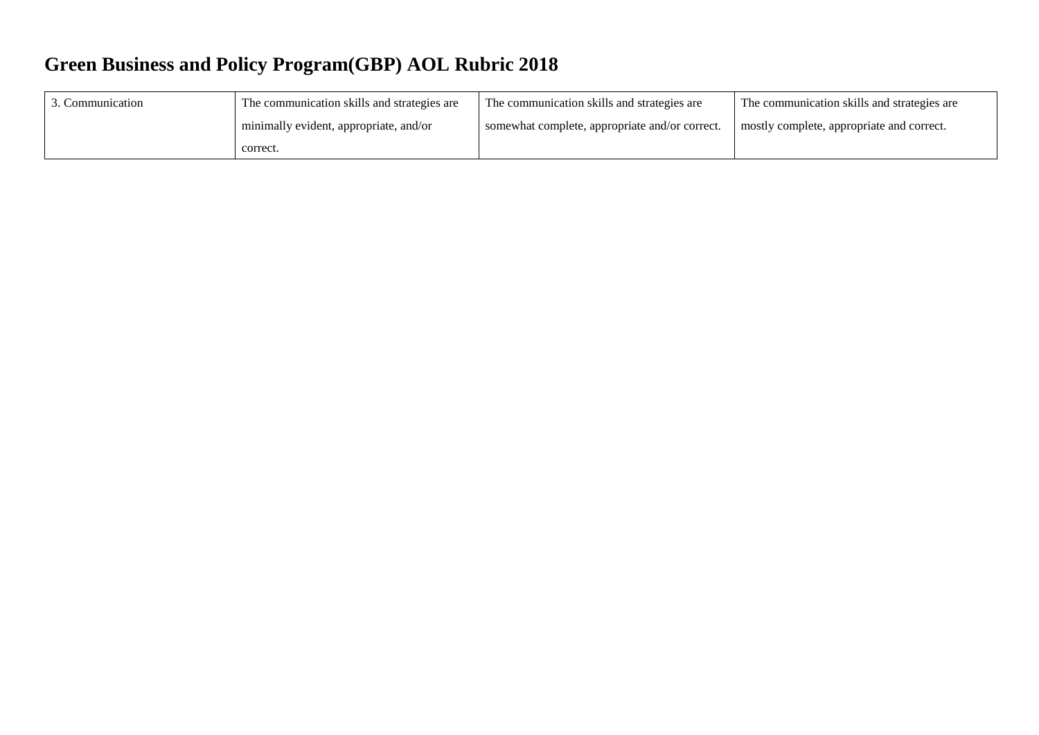| Communication | The communication skills and strategies are | The communication skills and strategies are    | The communication skills and strategies are |
|---------------|---------------------------------------------|------------------------------------------------|---------------------------------------------|
|               | minimally evident, appropriate, and/or      | somewhat complete, appropriate and/or correct. | mostly complete, appropriate and correct.   |
|               | correct.                                    |                                                |                                             |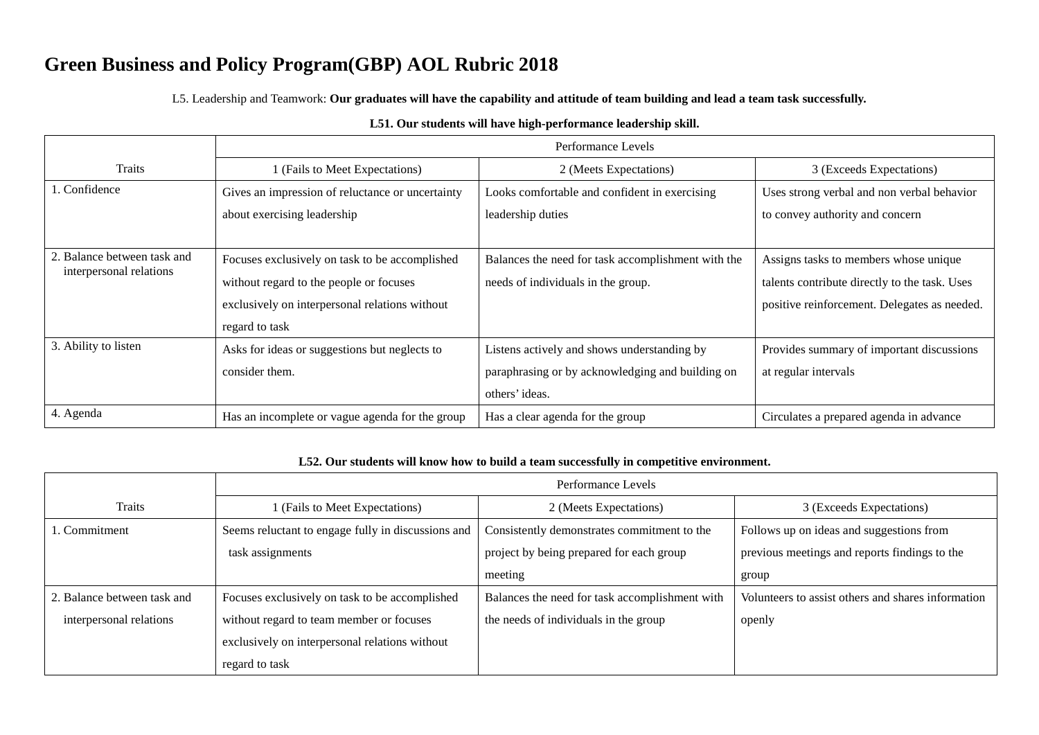L5. Leadership and Teamwork: **Our graduates will have the capability and attitude of team building and lead a team task successfully.**

|                                                        | Performance Levels                               |                                                    |                                               |
|--------------------------------------------------------|--------------------------------------------------|----------------------------------------------------|-----------------------------------------------|
| <b>Traits</b>                                          | (Fails to Meet Expectations)                     | 2 (Meets Expectations)                             | 3 (Exceeds Expectations)                      |
| 1. Confidence                                          | Gives an impression of reluctance or uncertainty | Looks comfortable and confident in exercising      | Uses strong verbal and non verbal behavior    |
|                                                        | about exercising leadership                      | leadership duties                                  | to convey authority and concern               |
|                                                        |                                                  |                                                    |                                               |
| 2. Balance between task and<br>interpersonal relations | Focuses exclusively on task to be accomplished   | Balances the need for task accomplishment with the | Assigns tasks to members whose unique         |
|                                                        | without regard to the people or focuses          | needs of individuals in the group.                 | talents contribute directly to the task. Uses |
|                                                        | exclusively on interpersonal relations without   |                                                    | positive reinforcement. Delegates as needed.  |
|                                                        | regard to task                                   |                                                    |                                               |
| 3. Ability to listen                                   | Asks for ideas or suggestions but neglects to    | Listens actively and shows understanding by        | Provides summary of important discussions     |
|                                                        | consider them.                                   | paraphrasing or by acknowledging and building on   | at regular intervals                          |
|                                                        |                                                  | others' ideas.                                     |                                               |
| 4. Agenda                                              | Has an incomplete or vague agenda for the group  | Has a clear agenda for the group                   | Circulates a prepared agenda in advance       |

#### **L51. Our students will have high-performance leadership skill.**

#### **L52. Our students will know how to build a team successfully in competitive environment.**

|                             | Performance Levels                                 |                                                |                                                    |
|-----------------------------|----------------------------------------------------|------------------------------------------------|----------------------------------------------------|
| <b>Traits</b>               | 1 (Fails to Meet Expectations)                     | 2 (Meets Expectations)                         | 3 (Exceeds Expectations)                           |
| . Commitment                | Seems reluctant to engage fully in discussions and | Consistently demonstrates commitment to the    | Follows up on ideas and suggestions from           |
|                             | task assignments                                   | project by being prepared for each group       | previous meetings and reports findings to the      |
|                             |                                                    | meeting                                        | group                                              |
| 2. Balance between task and | Focuses exclusively on task to be accomplished     | Balances the need for task accomplishment with | Volunteers to assist others and shares information |
| interpersonal relations     | without regard to team member or focuses           | the needs of individuals in the group          | openly                                             |
|                             | exclusively on interpersonal relations without     |                                                |                                                    |
|                             | regard to task                                     |                                                |                                                    |